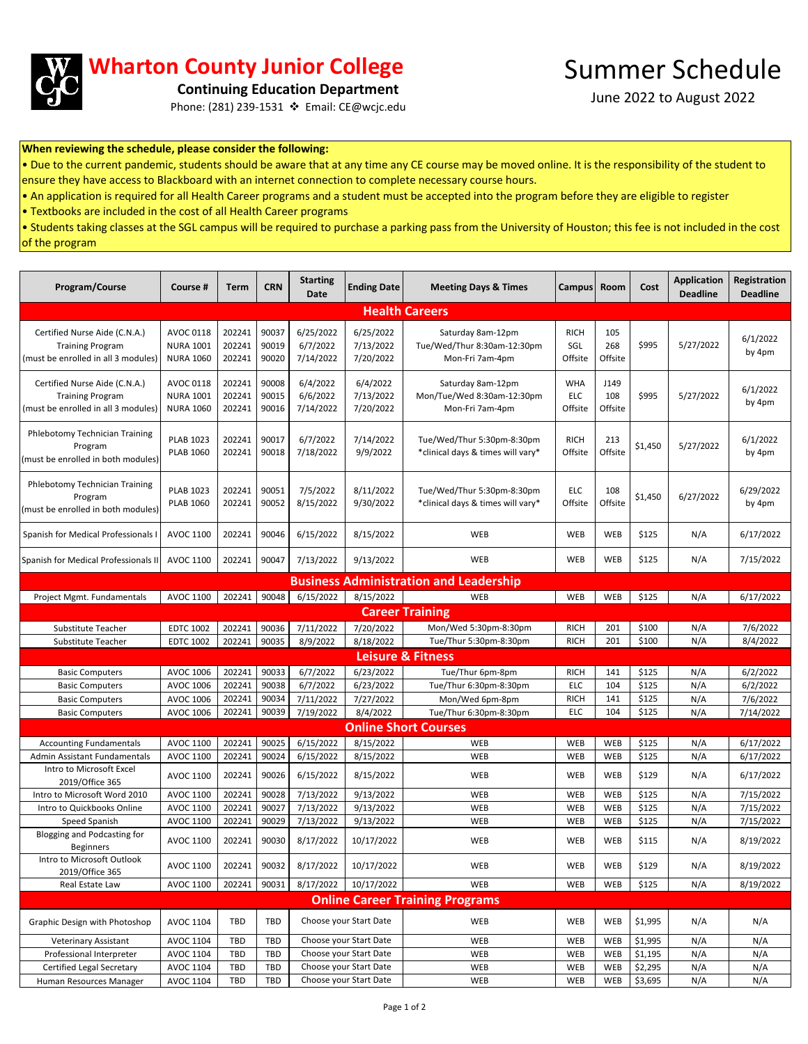

## **Wharton County Junior College**

**Continuing Education Department**

Phone: (281) 239-1531 ❖ Email: CE@wcjc.edu

June 2022 to August 2022

## **When reviewing the schedule, please consider the following:**

• Due to the current pandemic, students should be aware that at any time any CE course may be moved online. It is the responsibility of the student to ensure they have access to Blackboard with an internet connection to complete necessary course hours.

• An application is required for all Health Career programs and a student must be accepted into the program before they are eligible to register

• Textbooks are included in the cost of all Health Career programs

• Students taking classes at the SGL campus will be required to purchase a parking pass from the University of Houston; this fee is not included in the cost of the program

| Program/Course                                                                                  | Course #                                          | Term                       | <b>CRN</b>              | <b>Starting</b><br>Date            | <b>Ending Date</b>                  | <b>Meeting Days &amp; Times</b>                                     | <b>Campus</b>                       | Room                   | Cost           | <b>Application</b><br><b>Deadline</b> | Registration<br><b>Deadline</b> |
|-------------------------------------------------------------------------------------------------|---------------------------------------------------|----------------------------|-------------------------|------------------------------------|-------------------------------------|---------------------------------------------------------------------|-------------------------------------|------------------------|----------------|---------------------------------------|---------------------------------|
| <b>Health Careers</b>                                                                           |                                                   |                            |                         |                                    |                                     |                                                                     |                                     |                        |                |                                       |                                 |
| Certified Nurse Aide (C.N.A.)<br><b>Training Program</b><br>(must be enrolled in all 3 modules) | AVOC 0118<br><b>NURA 1001</b><br><b>NURA 1060</b> | 202241<br>202241<br>202241 | 90037<br>90019<br>90020 | 6/25/2022<br>6/7/2022<br>7/14/2022 | 6/25/2022<br>7/13/2022<br>7/20/2022 | Saturday 8am-12pm<br>Tue/Wed/Thur 8:30am-12:30pm<br>Mon-Fri 7am-4pm | <b>RICH</b><br>SGL<br>Offsite       | 105<br>268<br>Offsite  | \$995          | 5/27/2022                             | 6/1/2022<br>by 4pm              |
| Certified Nurse Aide (C.N.A.)<br><b>Training Program</b><br>(must be enrolled in all 3 modules) | AVOC 0118<br><b>NURA 1001</b><br><b>NURA 1060</b> | 202241<br>202241<br>202241 | 90008<br>90015<br>90016 | 6/4/2022<br>6/6/2022<br>7/14/2022  | 6/4/2022<br>7/13/2022<br>7/20/2022  | Saturday 8am-12pm<br>Mon/Tue/Wed 8:30am-12:30pm<br>Mon-Fri 7am-4pm  | <b>WHA</b><br><b>ELC</b><br>Offsite | J149<br>108<br>Offsite | \$995          | 5/27/2022                             | 6/1/2022<br>by 4pm              |
| Phlebotomy Technician Training<br>Program<br>must be enrolled in both modules)                  | <b>PLAB 1023</b><br><b>PLAB 1060</b>              | 202241<br>202241           | 90017<br>90018          | 6/7/2022<br>7/18/2022              | 7/14/2022<br>9/9/2022               | Tue/Wed/Thur 5:30pm-8:30pm<br>*clinical days & times will vary*     | <b>RICH</b><br>Offsite              | 213<br>Offsite         | \$1,450        | 5/27/2022                             | 6/1/2022<br>by 4pm              |
| Phlebotomy Technician Training<br>Program<br>(must be enrolled in both modules)                 | <b>PLAB 1023</b><br><b>PLAB 1060</b>              | 202241<br>202241           | 90051<br>90052          | 7/5/2022<br>8/15/2022              | 8/11/2022<br>9/30/2022              | Tue/Wed/Thur 5:30pm-8:30pm<br>*clinical days & times will vary*     | <b>ELC</b><br>Offsite               | 108<br>Offsite         | \$1,450        | 6/27/2022                             | 6/29/2022<br>by 4pm             |
| Spanish for Medical Professionals I                                                             | AVOC 1100                                         | 202241                     | 90046                   | 6/15/2022                          | 8/15/2022                           | WEB                                                                 | WEB                                 | WEB                    | \$125          | N/A                                   | 6/17/2022                       |
| Spanish for Medical Professionals II                                                            | AVOC 1100                                         | 202241                     | 90047                   | 7/13/2022                          | 9/13/2022                           | WEB                                                                 | WEB                                 | WEB                    | \$125          | N/A                                   | 7/15/2022                       |
| <b>Business Administration and Leadership</b>                                                   |                                                   |                            |                         |                                    |                                     |                                                                     |                                     |                        |                |                                       |                                 |
| Project Mgmt. Fundamentals                                                                      | AVOC 1100                                         | 202241                     | 90048                   | 6/15/2022                          | 8/15/2022                           | WEB                                                                 | WEB                                 | WEB                    | \$125          | N/A                                   | 6/17/2022                       |
|                                                                                                 |                                                   |                            |                         |                                    |                                     | <b>Career Training</b>                                              |                                     |                        |                |                                       |                                 |
| Substitute Teacher                                                                              | <b>EDTC 1002</b>                                  | 202241                     | 90036                   | 7/11/2022                          | 7/20/2022                           | Mon/Wed 5:30pm-8:30pm                                               | <b>RICH</b>                         | 201                    | \$100          | N/A                                   | 7/6/2022                        |
| Substitute Teacher                                                                              | <b>EDTC 1002</b>                                  | 202241                     | 90035                   | 8/9/2022                           | 8/18/2022                           | Tue/Thur 5:30pm-8:30pm                                              | <b>RICH</b>                         | 201                    | \$100          | N/A                                   | 8/4/2022                        |
| <b>Leisure &amp; Fitness</b>                                                                    |                                                   |                            |                         |                                    |                                     |                                                                     |                                     |                        |                |                                       |                                 |
| <b>Basic Computers</b>                                                                          | AVOC 1006                                         | 202241                     | 90033                   | 6/7/2022                           | 6/23/2022                           | Tue/Thur 6pm-8pm                                                    | <b>RICH</b>                         | 141                    | \$125          | N/A                                   | 6/2/2022                        |
| <b>Basic Computers</b>                                                                          | <b>AVOC 1006</b>                                  | 202241                     | 90038                   | 6/7/2022                           | 6/23/2022                           | Tue/Thur 6:30pm-8:30pm                                              | <b>ELC</b>                          | 104                    | \$125          | N/A                                   | 6/2/2022                        |
| <b>Basic Computers</b>                                                                          | AVOC 1006                                         | 202241                     | 90034                   | 7/11/2022                          | 7/27/2022                           | Mon/Wed 6pm-8pm                                                     | <b>RICH</b>                         | 141                    | \$125          | N/A                                   | 7/6/2022                        |
| <b>Basic Computers</b>                                                                          | AVOC 1006                                         | 202241                     | 90039                   | 7/19/2022                          | 8/4/2022                            | Tue/Thur 6:30pm-8:30pm                                              | <b>ELC</b>                          | 104                    | \$125          | N/A                                   | 7/14/2022                       |
|                                                                                                 |                                                   |                            |                         |                                    |                                     | <b>Online Short Courses</b>                                         |                                     |                        |                |                                       |                                 |
| <b>Accounting Fundamentals</b>                                                                  | AVOC 1100                                         | 202241                     | 90025                   | 6/15/2022                          | 8/15/2022                           | WEB                                                                 | WEB                                 | WEB                    | \$125          | N/A                                   | 6/17/2022                       |
| Admin Assistant Fundamentals                                                                    | AVOC 1100                                         | 202241                     | 90024                   | 6/15/2022                          | 8/15/2022                           | WEB                                                                 | WEB                                 | WEB                    | \$125          | N/A                                   | 6/17/2022                       |
| Intro to Microsoft Excel<br>2019/Office 365                                                     | <b>AVOC 1100</b>                                  | 202241                     | 90026                   | 6/15/2022                          | 8/15/2022                           | WEB                                                                 | WEB                                 | WEB                    | \$129          | N/A                                   | 6/17/2022                       |
| Intro to Microsoft Word 2010                                                                    | AVOC 1100                                         | 202241                     | 90028                   | 7/13/2022                          | 9/13/2022                           | WEB                                                                 | WEB                                 | WEB                    | \$125          | N/A                                   | 7/15/2022                       |
| Intro to Quickbooks Online                                                                      | AVOC 1100                                         | 202241                     | 90027                   | 7/13/2022                          | 9/13/2022                           | WEB                                                                 | WEB                                 | WEB                    | \$125          | N/A                                   | 7/15/2022                       |
| Speed Spanish<br>Blogging and Podcasting for<br><b>Beginners</b>                                | AVOC 1100<br><b>AVOC 1100</b>                     | 202241<br>202241           | 90029<br>90030          | 7/13/2022<br>8/17/2022             | 9/13/2022<br>10/17/2022             | WEB<br>WEB                                                          | WEB<br>WEB                          | WEB<br>WEB             | \$125<br>\$115 | N/A<br>N/A                            | 7/15/2022<br>8/19/2022          |
| Intro to Microsoft Outlook<br>2019/Office 365                                                   | AVOC 1100                                         | 202241 90032               |                         | 8/17/2022                          | 10/17/2022                          | WEB                                                                 | WEB                                 | WEB                    | \$129          | N/A                                   | 8/19/2022                       |
| Real Estate Law                                                                                 | AVOC 1100                                         | 202241                     | 90031                   | 8/17/2022                          | 10/17/2022                          | WEB                                                                 | WEB                                 | WEB                    | \$125          | N/A                                   | 8/19/2022                       |
| <b>Online Career Training Programs</b>                                                          |                                                   |                            |                         |                                    |                                     |                                                                     |                                     |                        |                |                                       |                                 |
| Graphic Design with Photoshop                                                                   | AVOC 1104                                         | TBD                        | TBD                     | Choose your Start Date             |                                     | WEB                                                                 | WEB                                 | WEB                    | \$1,995        | N/A                                   | N/A                             |
| <b>Veterinary Assistant</b>                                                                     | AVOC 1104                                         | TBD                        | TBD                     | Choose your Start Date             |                                     | WEB                                                                 | WEB                                 | WEB                    | \$1,995        | N/A                                   | N/A                             |
| Professional Interpreter                                                                        | AVOC 1104                                         | TBD                        | TBD                     | Choose your Start Date             |                                     | WEB                                                                 | WEB                                 | WEB                    | \$1,195        | N/A                                   | N/A                             |
| Certified Legal Secretary                                                                       | AVOC 1104                                         | TBD                        | TBD                     | Choose your Start Date             |                                     | WEB                                                                 | WEB                                 | WEB                    | \$2,295        | N/A                                   | N/A                             |
| Human Resources Manager                                                                         | AVOC 1104                                         | TBD                        | TBD                     | Choose your Start Date             |                                     | WEB                                                                 | WEB                                 | WEB                    | \$3,695        | N/A                                   | N/A                             |